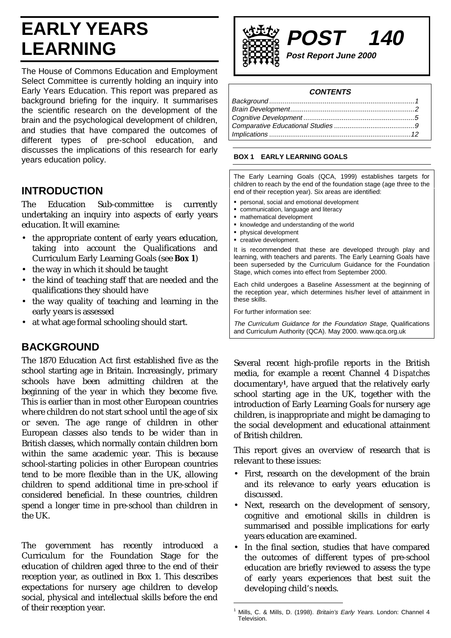# **EARLY YEARS LEARNING**

The House of Commons Education and Employment Select Committee is currently holding an inquiry into Early Years Education. This report was prepared as background briefing for the inquiry. It summarises the scientific research on the development of the brain and the psychological development of children, and studies that have compared the outcomes of different types of pre-school education, and discusses the implications of this research for early years education policy.

# **INTRODUCTION**

The Education Sub-committee is currently undertaking an inquiry into aspects of early years education. It will examine:

- the appropriate content of early years education, taking into account the Qualifications and Curriculum Early Learning Goals (see **Box 1**)
- the way in which it should be taught
- the kind of teaching staff that are needed and the qualifications they should have
- the way quality of teaching and learning in the early years is assessed
- at what age formal schooling should start.

## **BACKGROUND**

The 1870 Education Act first established five as the school starting age in Britain. Increasingly, primary schools have been admitting children at the beginning of the year in which they become five. This is earlier than in most other European countries where children do not start school until the age of six or seven. The age range of children in other European classes also tends to be wider than in British classes, which normally contain children born within the same academic year. This is because school-starting policies in other European countries tend to be more flexible than in the UK, allowing children to spend additional time in pre-school if considered beneficial. In these countries, children spend a longer time in pre-school than children in the UK.

The government has recently introduced a Curriculum for the Foundation Stage for the education of children aged three to the end of their reception year, as outlined in Box 1. This describes expectations for nursery age children to develop social, physical and intellectual skills before the end of their reception year.



### **CONTENTS**

### **BOX 1 EARLY LEARNING GOALS**

The Early Learning Goals (QCA, 1999) establishes targets for children to reach by the end of the foundation stage (age three to the end of their reception year). Six areas are identified:

- personal, social and emotional development
- communication, language and literacy
- mathematical development
- knowledge and understanding of the world
- physical development creative development.

It is recommended that these are developed through play and learning, with teachers and parents. The Early Learning Goals have been superseded by the Curriculum Guidance for the Foundation Stage, which comes into effect from September 2000.

Each child undergoes a Baseline Assessment at the beginning of the reception year, which determines his/her level of attainment in these skills.

For further information see:

The Curriculum Guidance for the Foundation Stage, Qualifications and Curriculum Authority (QCA). May 2000. www.qca.org.uk

Several recent high-profile reports in the British media, for example a recent Channel 4 *Dispatches* documentary**1**, have argued that the relatively early school starting age in the UK, together with the introduction of Early Learning Goals for nursery age children, is inappropriate and might be damaging to the social development and educational attainment of British children.

This report gives an overview of research that is relevant to these issues:

- First, research on the development of the brain and its relevance to early years education is discussed.
- Next, research on the development of sensory, cognitive and emotional skills in children is summarised and possible implications for early years education are examined.
- In the final section, studies that have compared the outcomes of different types of pre-school education are briefly reviewed to assess the type of early years experiences that best suit the developing child's needs.

Mills, C. & Mills, D. (1998). Britain's Early Years. London: Channel 4 Television.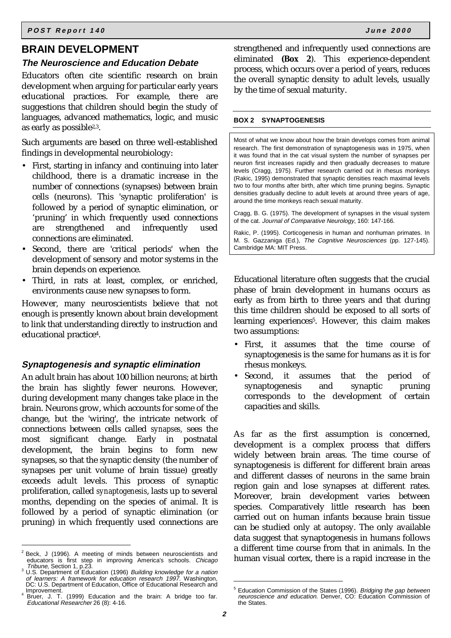### **BRAIN DEVELOPMENT**

### **The Neuroscience and Education Debate**

Educators often cite scientific research on brain development when arguing for particular early years educational practices. For example, there are suggestions that children should begin the study of languages, advanced mathematics, logic, and music as early as possible2,3.

Such arguments are based on three well-established findings in developmental neurobiology:

- First, starting in infancy and continuing into later childhood, there is a dramatic increase in the number of connections (synapses) between brain cells (neurons). This 'synaptic proliferation' is followed by a period of synaptic elimination, or 'pruning' in which frequently used connections are strengthened and infrequently used connections are eliminated.
- Second, there are 'critical periods' when the development of sensory and motor systems in the brain depends on experience.
- Third, in rats at least, complex, or enriched, environments cause new synapses to form.

However, many neuroscientists believe that not enough is presently known about brain development to link that understanding directly to instruction and educational practice4.

### **Synaptogenesis and synaptic elimination**

An adult brain has about 100 billion neurons; at birth the brain has slightly fewer neurons. However, during development many changes take place in the brain. Neurons grow, which accounts for some of the change, but the 'wiring', the intricate network of connections between cells called *synapses,* sees the most significant change. Early in postnatal development, the brain begins to form new synapses, so that the synaptic density (the number of synapses per unit volume of brain tissue) greatly exceeds adult levels. This process of synaptic proliferation, called *synaptogenesis*, lasts up to several months, depending on the species of animal. It is followed by a period of synaptic elimination (or pruning) in which frequently used connections are

strengthened and infrequently used connections are eliminated **(Box 2**). This experience-dependent process, which occurs over a period of years, reduces the overall synaptic density to adult levels, usually by the time of sexual maturity.

#### **BOX 2 SYNAPTOGENESIS**

Most of what we know about how the brain develops comes from animal research. The first demonstration of synaptogenesis was in 1975, when it was found that in the cat visual system the number of synapses per neuron first increases rapidly and then gradually decreases to mature levels (Cragg, 1975). Further research carried out in rhesus monkeys (Rakic, 1995) demonstrated that synaptic densities reach maximal levels two to four months after birth, after which time pruning begins. Synaptic densities gradually decline to adult levels at around three years of age, around the time monkeys reach sexual maturity.

Cragg, B. G. (1975). The development of synapses in the visual system of the cat. Journal of Comparative Neurology, 160: 147-166.

Rakic, P. (1995). Corticogenesis in human and nonhuman primates. In M. S. Gazzaniga (Ed.), The Cognitive Neurosciences (pp. 127-145). Cambridge MA: MIT Press.

Educational literature often suggests that the crucial phase of brain development in humans occurs as early as from birth to three years and that during this time children should be exposed to all sorts of learning experiences<sup>5</sup>. However, this claim makes two assumptions:

- First, it assumes that the time course of synaptogenesis is the same for humans as it is for rhesus monkeys.
- Second, it assumes that the period of synaptogenesis and synaptic pruning corresponds to the development of certain capacities and skills.

As far as the first assumption is concerned, development is a complex process that differs widely between brain areas. The time course of synaptogenesis is different for different brain areas and different classes of neurons in the same brain region gain and lose synapses at different rates. Moreover, brain development varies between species. Comparatively little research has been carried out on human infants because brain tissue can be studied only at autopsy. The only available data suggest that synaptogenesis in humans follows a different time course from that in animals. In the human visual cortex, there is a rapid increase in the

<sup>2</sup> Beck, J (1996). A meeting of minds between neuroscientists and educators is first step in improving America's schools. Chicago

Tribune, Section 1, p.23.<br><sup>3</sup> U.S. Department of Education (1996) *Building knowledge for a nation*<br>of learners: A framework for education research 1997. Washington, DC: U.S. Department of Education, Office of Educational Research and Improvement.

<sup>,</sup> Improvement.<br><sup>4</sup> Bruer, J. T. (1999) Education and the brain: A bridge too far. Educational Researcher 26 (8): 4-16.

<sup>&</sup>lt;sup>5</sup> Education Commission of the States (1996). Bridging the gap between neuroscience and education. Denver, CO: Education Commission of the States.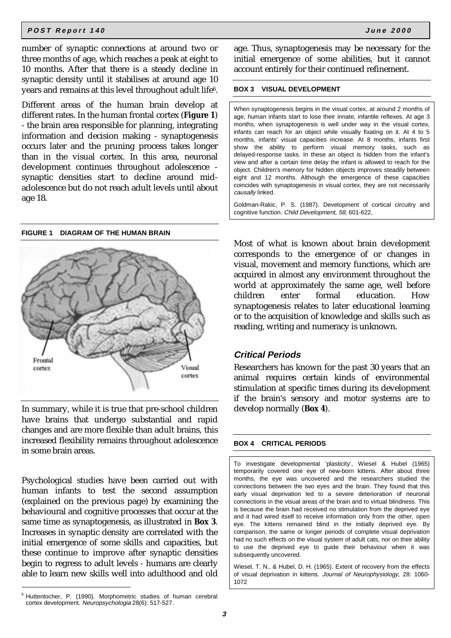number of synaptic connections at around two or three months of age, which reaches a peak at eight to 10 months. After that there is a steady decline in synaptic density until it stabilises at around age 10 years and remains at this level throughout adult life6.

Different areas of the human brain develop at different rates. In the human frontal cortex (**Figure 1**) - the brain area responsible for planning, integrating information and decision making - synaptogenesis occurs later and the pruning process takes longer than in the visual cortex. In this area, neuronal development continues throughout adolescence synaptic densities start to decline around midadolescence but do not reach adult levels until about age 18.

#### **FIGURE 1 DIAGRAM OF THE HUMAN BRAIN**



In summary, while it is true that pre-school children have brains that undergo substantial and rapid changes and are more flexible than adult brains, this increased flexibility remains throughout adolescence in some brain areas.

Psychological studies have been carried out with human infants to test the second assumption (explained on the previous page) by examining the behavioural and cognitive processes that occur at the same time as synaptogenesis, as illustrated in **Box 3**. Increases in synaptic density are correlated with the initial emergence of some skills and capacities, but these continue to improve after synaptic densities begin to regress to adult levels - humans are clearly able to learn new skills well into adulthood and old age. Thus, synaptogenesis may be necessary for the initial emergence of some abilities, but it cannot account entirely for their continued refinement.

#### **BOX 3 VISUAL DEVELOPMENT**

When synaptogenesis begins in the visual cortex, at around 2 months of age, human infants start to lose their innate, infantile reflexes. At age 3 months, when synaptogenesis is well under way in the visual cortex, infants can reach for an object while visually fixating on it. At 4 to 5 months, infants' visual capacities increase. At 8 months, infants first show the ability to perform visual memory tasks, such as delayed-response tasks. In these an object is hidden from the infant's view and after a certain time delay the infant is allowed to reach for the object. Children's memory for hidden objects improves steadily between eight and 12 months. Although the emergence of these capacities coincides with synaptogenesis in visual cortex, they are not necessarily causally linked.

Goldman-Rakic, P. S. (1987). Development of cortical circuitry and cognitive function. Child Development, 58, 601-622,

Most of what is known about brain development corresponds to the emergence of or changes in visual, movement and memory functions, which are acquired in almost any environment throughout the world at approximately the same age, well before children enter formal education. How synaptogenesis relates to later educational learning or to the acquisition of knowledge and skills such as reading, writing and numeracy is unknown.

### **Critical Periods**

Researchers has known for the past 30 years that an animal requires certain kinds of environmental stimulation at specific times during its development if the brain's sensory and motor systems are to develop normally (**Box 4**).

### **BOX 4 CRITICAL PERIODS**

To investigate developmental 'plasticity', Wiesel & Hubel (1965) temporarily covered one eye of new-born kittens. After about three months, the eye was uncovered and the researchers studied the connections between the two eyes and the brain. They found that this early visual deprivation led to a severe deterioration of neuronal connections in the visual areas of the brain and to virtual blindness. This is because the brain had received no stimulation from the deprived eye and it had wired itself to receive information only from the other, open eye. The kittens remained blind in the initially deprived eye. By comparison, the same or longer periods of complete visual deprivation had no such effects on the visual system of adult cats, nor on their ability to use the deprived eye to guide their behaviour when it was subsequently uncovered.

Wiesel, T. N., & Hubel, D. H. (1965). Extent of recovery from the effects of visual deprivation in kittens. Journal of Neurophysiology, 28: 1060- 1072

<sup>6</sup> Huttenlocher, P. (1990). Morphometric studies of human cerebral cortex development. Neuropsychologia 28(6): 517-527.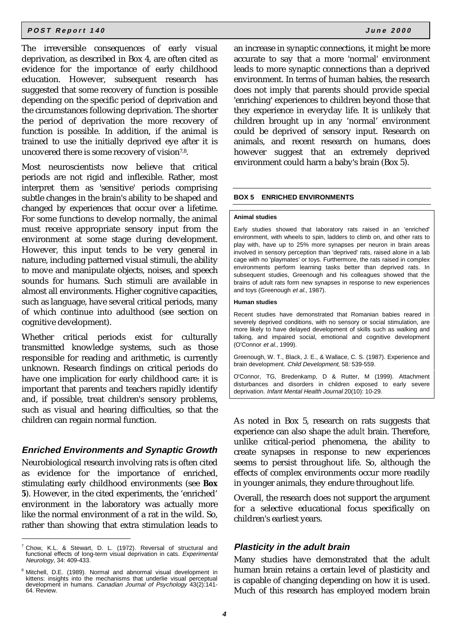The irreversible consequences of early visual deprivation, as described in Box 4, are often cited as evidence for the importance of early childhood education. However, subsequent research has suggested that some recovery of function is possible depending on the specific period of deprivation and the circumstances following deprivation. The shorter the period of deprivation the more recovery of function is possible. In addition, if the animal is trained to use the initially deprived eye after it is uncovered there is some recovery of vision<sup>7,8</sup>.

Most neuroscientists now believe that critical periods are not rigid and inflexible. Rather, most interpret them as 'sensitive' periods comprising subtle changes in the brain's ability to be shaped and changed by experiences that occur over a lifetime. For some functions to develop normally, the animal must receive appropriate sensory input from the environment at some stage during development. However, this input tends to be very general in nature, including patterned visual stimuli, the ability to move and manipulate objects, noises, and speech sounds for humans. Such stimuli are available in almost all environments. Higher cognitive capacities, such as language, have several critical periods, many of which continue into adulthood (see section on cognitive development).

Whether critical periods exist for culturally transmitted knowledge systems, such as those responsible for reading and arithmetic, is currently unknown. Research findings on critical periods do have one implication for early childhood care: it is important that parents and teachers rapidly identify and, if possible, treat children's sensory problems, such as visual and hearing difficulties, so that the children can regain normal function.

### **Enriched Environments and Synaptic Growth**

Neurobiological research involving rats is often cited as evidence for the importance of enriched, stimulating early childhood environments (see **Box 5**). However, in the cited experiments, the 'enriched' environment in the laboratory was actually more like the normal environment of a rat in the wild. So, rather than showing that extra stimulation leads to

an increase in synaptic connections, it might be more accurate to say that a more 'normal' environment leads to more synaptic connections than a deprived environment. In terms of human babies, the research does not imply that parents should provide special 'enriching' experiences to children beyond those that they experience in everyday life. It is unlikely that children brought up in any 'normal' environment could be deprived of sensory input. Research on animals, and recent research on humans, does however suggest that an extremely deprived environment could harm a baby's brain (Box 5).

#### **BOX 5 ENRICHED ENVIRONMENTS**

#### **Animal studies**

Early studies showed that laboratory rats raised in an 'enriched' environment, with wheels to spin, ladders to climb on, and other rats to play with, have up to 25% more synapses per neuron in brain areas involved in sensory perception than 'deprived' rats, raised alone in a lab cage with no 'playmates' or toys. Furthermore, the rats raised in complex environments perform learning tasks better than deprived rats. In subsequent studies, Greenough and his colleagues showed that the brains of adult rats form new synapses in response to new experiences and toys (Greenough et al., 1987).

#### **Human studies**

Recent studies have demonstrated that Romanian babies reared in severely deprived conditions, with no sensory or social stimulation, are more likely to have delayed development of skills such as walking and talking, and impaired social, emotional and cognitive development (O'Connor et al., 1999).

Greenough, W. T., Black, J. E., & Wallace, C. S. (1987). Experience and brain development. Child Development, 58: 539-559.

O'Connor, TG, Bredenkamp, D & Rutter, M (1999). Attachment disturbances and disorders in children exposed to early severe deprivation. Infant Mental Health Journal 20(10): 10-29.

As noted in Box 5, research on rats suggests that experience can also shape the *adult* brain. Therefore, unlike critical-period phenomena, the ability to create synapses in response to new experiences seems to persist throughout life. So, although the effects of complex environments occur more readily in younger animals, they endure throughout life.

Overall, the research does not support the argument for a selective educational focus specifically on children's earliest years.

#### **Plasticity in the adult brain**

Many studies have demonstrated that the adult human brain retains a certain level of plasticity and is capable of changing depending on how it is used. Much of this research has employed modern brain

 $7$  Chow, K.L. & Stewart, D. L. (1972). Reversal of structural and functional effects of long-term visual deprivation in cats. Experimental Neurology, 34: 409-433.

Mitchell, D.E. (1989). Normal and abnormal visual development in kittens: insights into the mechanisms that underlie visual perceptual development in humans. Canadian Journal of Psychology 43(2):141-64. Review.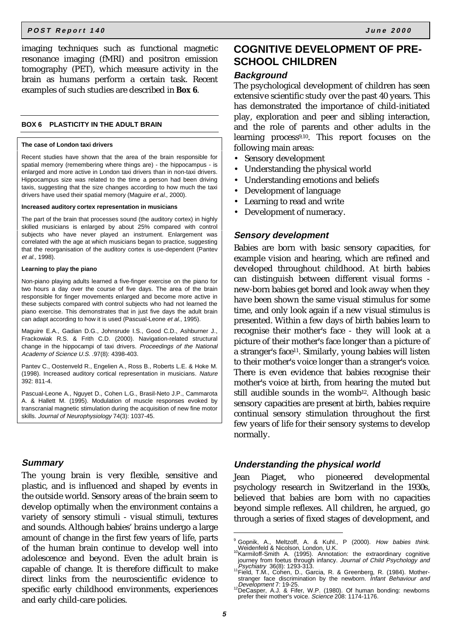imaging techniques such as functional magnetic resonance imaging (fMRI) and positron emission tomography (PET), which measure activity in the brain as humans perform a certain task. Recent examples of such studies are described in **Box 6**.

#### **BOX 6 PLASTICITY IN THE ADULT BRAIN**

#### **The case of London taxi drivers**

Recent studies have shown that the area of the brain responsible for spatial memory (remembering where things are) - the hippocampus - is enlarged and more active in London taxi drivers than in non-taxi drivers. Hippocampus size was related to the time a person had been driving taxis, suggesting that the size changes according to how much the taxi drivers have used their spatial memory (Maguire et al., 2000).

#### **Increased auditory cortex representation in musicians**

The part of the brain that processes sound (the auditory cortex) in highly skilled musicians is enlarged by about 25% compared with control subjects who have never played an instrument. Enlargement was correlated with the age at which musicians began to practice, suggesting that the reorganisation of the auditory cortex is use-dependent (Pantev et al., 1998).

#### **Learning to play the piano**

Non-piano playing adults learned a five-finger exercise on the piano for two hours a day over the course of five days. The area of the brain responsible for finger movements enlarged and become more active in these subjects compared with control subjects who had not learned the piano exercise. This demonstrates that in just five days the adult brain can adapt according to how it is used (Pascual-Leone et al., 1995).

Maguire E.A., Gadian D.G., Johnsrude I.S., Good C.D., Ashburner J., Frackowiak R.S. & Frith C.D. (2000). Navigation-related structural change in the hippocampi of taxi drivers. Proceedings of the National Academy of Science U.S. .97(8): 4398-403.

Pantev C., Oostenveld R., Engelien A., Ross B., Roberts L.E. & Hoke M. (1998). Increased auditory cortical representation in musicians. Nature 392: 811-4.

Pascual-Leone A., Nguyet D., Cohen L.G., Brasil-Neto J.P., Cammarota A. & Hallett M. (1995). Modulation of muscle responses evoked by transcranial magnetic stimulation during the acquisition of new fine motor skills. Journal of Neurophysiology 74(3): 1037-45.

### **Summary**

The young brain is very flexible, sensitive and plastic, and is influenced and shaped by events in the outside world. Sensory areas of the brain seem to develop optimally when the environment contains a variety of sensory stimuli - visual stimuli, textures and sounds. Although babies' brains undergo a large amount of change in the first few years of life, parts of the human brain continue to develop well into adolescence and beyond. Even the adult brain is capable of change. It is therefore difficult to make direct links from the neuroscientific evidence to specific early childhood environments, experiences and early child-care policies.

### **COGNITIVE DEVELOPMENT OF PRE-SCHOOL CHILDREN**

### **Background**

The psychological development of children has seen extensive scientific study over the past 40 years. This has demonstrated the importance of child-initiated play, exploration and peer and sibling interaction, and the role of parents and other adults in the learning process9,10. This report focuses on the following main areas:

- Sensory development
- Understanding the physical world
- Understanding emotions and beliefs
- Development of language
- Learning to read and write
- Development of numeracy.

### **Sensory development**

Babies are born with basic sensory capacities, for example vision and hearing, which are refined and developed throughout childhood. At birth babies can distinguish between different visual forms new-born babies get bored and look away when they have been shown the same visual stimulus for some time, and only look again if a new visual stimulus is presented. Within a few days of birth babies learn to recognise their mother's face - they will look at a picture of their mother's face longer than a picture of a stranger's face11. Similarly, young babies will listen to their mother's voice longer than a stranger's voice. There is even evidence that babies recognise their mother's voice at birth, from hearing the muted but still audible sounds in the womb<sup>12</sup>. Although basic sensory capacities are present at birth, babies require continual sensory stimulation throughout the first few years of life for their sensory systems to develop normally.

### **Understanding the physical world**

Jean Piaget, who pioneered developmental psychology research in Switzerland in the 1930s, believed that babies are born with no capacities beyond simple reflexes. All children, he argued, go through a series of fixed stages of development, and

<sup>&</sup>lt;sup>9</sup> Gopnik, A., Meltzoff, A. & Kuhl., P (2000). How babies think. Weidenfeld & Nicolson, London, U.K.<br><sup>10</sup>Karmiloff-Smith A. (1995). Annotation: the extraordinary cognitive

journey from foetus through infancy. Journal of Child Psychology and Psychiatry 36(8): 1293-313. 111 Field, T.M., Cohen, D., Garcia, R. & Greenberg, R. (1984). Mother-

stranger face discrimination by the newborn. *Infant Behaviour and* Development 7: 19-25.<br><sup>12</sup>DeCasper, A.J. & Fifer, W.P. (1980). Of human bonding: newborns

prefer their mother's voice. Science 208: 1174-1176.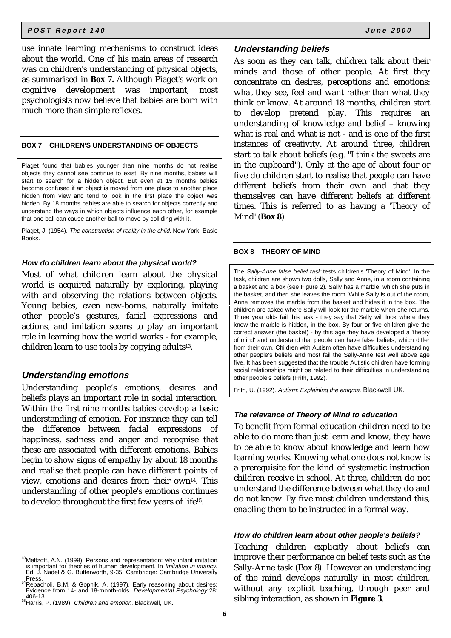use innate learning mechanisms to construct ideas about the world. One of his main areas of research was on children's understanding of physical objects, as summarised in **Box 7.** Although Piaget's work on cognitive development was important, most psychologists now believe that babies are born with much more than simple reflexes.

### **BOX 7 CHILDREN'S UNDERSTANDING OF OBJECTS**

Piaget found that babies younger than nine months do not realise objects they cannot see continue to exist. By nine months, babies will start to search for a hidden object. But even at 15 months babies become confused if an object is moved from one place to another place hidden from view and tend to look in the first place the object was hidden. By 18 months babies are able to search for objects correctly and understand the ways in which objects influence each other, for example that one ball can cause another ball to move by colliding with it.

Piaget, J. (1954). The construction of reality in the child. New York: Basic Books.

#### **How do children learn about the physical world?**

Most of what children learn about the physical world is acquired naturally by exploring, playing with and observing the relations between objects. Young babies, even new-borns, naturally imitate other people's gestures, facial expressions and actions, and imitation seems to play an important role in learning how the world works - for example, children learn to use tools by copying adults13.

### **Understanding emotions**

Understanding people's emotions, desires and beliefs plays an important role in social interaction. Within the first nine months babies develop a basic understanding of emotion. For instance they can tell the difference between facial expressions of happiness, sadness and anger and recognise that these are associated with different emotions. Babies begin to show signs of empathy by about 18 months and realise that people can have different points of view, emotions and desires from their own14. This understanding of other people's emotions continues to develop throughout the first few years of life15.

### **Understanding beliefs**

As soon as they can talk, children talk about their minds and those of other people. At first they concentrate on desires, perceptions and emotions: what they see, feel and want rather than what they think or know. At around 18 months, children start to develop pretend play. This requires an understanding of knowledge and belief – knowing what is real and what is not - and is one of the first instances of creativity. At around three, children start to talk about beliefs (e.g. "I *think* the sweets are in the cupboard"). Only at the age of about four or five do children start to realise that people can have different beliefs from their own and that they themselves can have different beliefs at different times. This is referred to as having a 'Theory of Mind' (**Box 8**).

#### **BOX 8 THEORY OF MIND**

The Sally-Anne false belief task tests children's 'Theory of Mind'. In the task, children are shown two dolls, Sally and Anne, in a room containing a basket and a box (see Figure 2). Sally has a marble, which she puts in the basket, and then she leaves the room. While Sally is out of the room, Anne removes the marble from the basket and hides it in the box. The children are asked where Sally will look for the marble when she returns. Three year olds fail this task - they say that Sally will look where they know the marble is hidden, in the box. By four or five children give the correct answer (the basket) - by this age they have developed a 'theory of mind' and understand that people can have false beliefs, which differ from their own. Children with Autism often have difficulties understanding other people's beliefs and most fail the Sally-Anne test well above age five. It has been suggested that the trouble Autistic children have forming social relationships might be related to their difficulties in understanding other people's beliefs (Frith, 1992).

Frith, U. (1992). Autism: Explaining the enigma. Blackwell UK.

### **The relevance of Theory of Mind to education**

To benefit from formal education children need to be able to do more than just learn and know, they have to be able to know about knowledge and learn how learning works. Knowing what one does not know is a prerequisite for the kind of systematic instruction children receive in school. At three, children do not understand the difference between what they do and do not know. By five most children understand this, enabling them to be instructed in a formal way.

#### **How do children learn about other people's beliefs?**

Teaching children explicitly about beliefs can improve their performance on belief tests such as the Sally-Anne task (Box 8). However an understanding of the mind develops naturally in most children, without any explicit teaching, through peer and sibling interaction, as shown in **Figure 3**.

<sup>&</sup>lt;sup>13</sup>Meltzoff, A.N. (1999). Persons and representation: why infant imitation is important for theories of human development. In *Imitation in infancy*.<br>Ed. J. Nadel & G. Butterworth, 9-35, Cambridge: Cambridge University<br>Press Press.<br><sup>14</sup>Repacholi, B.M. & Gopnik, A. (1997). Early reasoning about desires:

Evidence from 14- and 18-month-olds. Developmental Psychology 28:

<sup>406-13.</sup> 15Harris, P. (1989). Children and emotion. Blackwell, UK.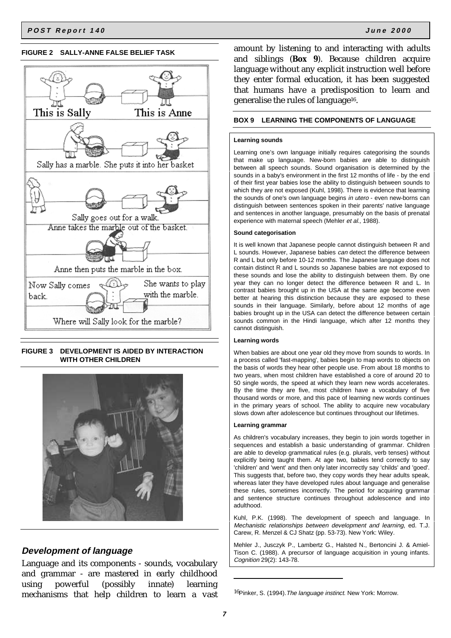#### **FIGURE 2 SALLY-ANNE FALSE BELIEF TASK**



### **FIGURE 3 DEVELOPMENT IS AIDED BY INTERACTION WITH OTHER CHILDREN**



### **Development of language**

Language and its components - sounds, vocabulary and grammar - are mastered in early childhood using powerful (possibly innate) learning mechanisms that help children to learn a vast

amount by listening to and interacting with adults and siblings (**Box 9**). Because children acquire language without any explicit instruction well before they enter formal education, it has been suggested that humans have a predisposition to learn and generalise the rules of language16.

### **BOX 9 LEARNING THE COMPONENTS OF LANGUAGE**

#### **Learning sounds**

Learning one's own language initially requires categorising the sounds that make up language. New-born babies are able to distinguish between all speech sounds. Sound organisation is determined by the sounds in a baby's environment in the first 12 months of life - by the end of their first year babies lose the ability to distinguish between sounds to which they are not exposed (Kuhl, 1998). There is evidence that learning the sounds of one's own language begins in utero - even new-borns can distinguish between sentences spoken in their parents' native language and sentences in another language, presumably on the basis of prenatal experience with maternal speech (Mehler et al., 1988).

#### **Sound categorisation**

It is well known that Japanese people cannot distinguish between R and L sounds. However, Japanese babies can detect the difference between R and L but only before 10-12 months. The Japanese language does not contain distinct R and L sounds so Japanese babies are not exposed to these sounds and lose the ability to distinguish between them. By one year they can no longer detect the difference between R and L. In contrast babies brought up in the USA at the same age become even better at hearing this distinction because they are exposed to these sounds in their language. Similarly, before about 12 months of age babies brought up in the USA can detect the difference between certain sounds common in the Hindi language, which after 12 months they cannot distinguish.

#### **Learning words**

When babies are about one year old they move from sounds to words. In a process called 'fast-mapping', babies begin to map words to objects on the basis of words they hear other people use. From about 18 months to two years, when most children have established a core of around 20 to 50 single words, the speed at which they learn new words accelerates. By the time they are five, most children have a vocabulary of five thousand words or more, and this pace of learning new words continues in the primary years of school. The ability to acquire new vocabulary slows down after adolescence but continues throughout our lifetimes.

#### **Learning grammar**

As children's vocabulary increases, they begin to join words together in sequences and establish a basic understanding of grammar. Children are able to develop grammatical rules (e.g. plurals, verb tenses) without explicitly being taught them. At age two, babies tend correctly to say 'children' and 'went' and then only later incorrectly say 'childs' and 'goed'. This suggests that, before two, they copy words they hear adults speak, whereas later they have developed rules about language and generalise these rules, sometimes incorrectly. The period for acquiring grammar and sentence structure continues throughout adolescence and into adulthood.

Kuhl, P.K. (1998). The development of speech and language. In Mechanistic relationships between development and learning, ed. T.J. Carew, R. Menzel & CJ Shatz (pp. 53-73). New York: Wiley.

Mehler J., Jusczyk P., Lambertz G., Halsted N., Bertoncini J. & Amiel-Tison C. (1988). A precursor of language acquisition in young infants. Cognition 29(2): 143-78.

<sup>16</sup>Pinker, S. (1994). The language instinct. New York: Morrow.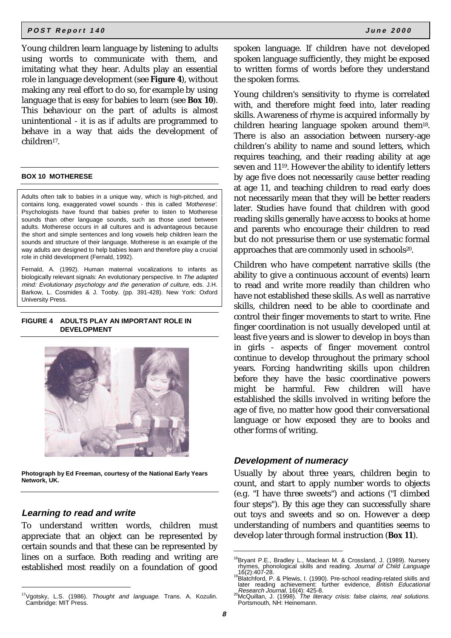Young children learn language by listening to adults using words to communicate with them, and imitating what they hear. Adults play an essential role in language development (see **Figure 4**), without making any real effort to do so, for example by using language that is easy for babies to learn (see **Box 10**). This behaviour on the part of adults is almost unintentional - it is as if adults are programmed to behave in a way that aids the development of children17.

#### **BOX 10 MOTHERESE**

Adults often talk to babies in a unique way, which is high-pitched, and contains long, exaggerated vowel sounds - this is called 'Motherese'. Psychologists have found that babies prefer to listen to Motherese sounds than other language sounds, such as those used between adults. Motherese occurs in all cultures and is advantageous because the short and simple sentences and long vowels help children learn the sounds and structure of their language. Motherese is an example of the way adults are designed to help babies learn and therefore play a crucial role in child development (Fernald, 1992).

Fernald, A. (1992). Human maternal vocalizations to infants as biologically relevant signals: An evolutionary perspective. In The adapted mind: Evolutionary psychology and the generation of culture, eds. J.H. Barkow, L. Cosmides & J. Tooby. (pp. 391-428). New York: Oxford University Press.

#### **FIGURE 4 ADULTS PLAY AN IMPORTANT ROLE IN DEVELOPMENT**



**Photograph by Ed Freeman, courtesy of the National Early Years Network, UK.**

### **Learning to read and write**

To understand written words, children must appreciate that an object can be represented by certain sounds and that these can be represented by lines on a surface. Both reading and writing are established most readily on a foundation of good

spoken language. If children have not developed spoken language sufficiently, they might be exposed to written forms of words before they understand the spoken forms.

Young children's sensitivity to rhyme is correlated with, and therefore might feed into, later reading skills. Awareness of rhyme is acquired informally by children hearing language spoken around them18. There is also an association between nursery-age children's ability to name and sound letters, which requires teaching, and their reading ability at age seven and 1119. However the ability to identify letters by age five does not necessarily *cause* better reading at age 11, and teaching children to read early does not necessarily mean that they will be better readers later. Studies have found that children with good reading skills generally have access to books at home and parents who encourage their children to read but do not pressurise them or use systematic formal approaches that are commonly used in schools<sup>20</sup>.

Children who have competent narrative skills (the ability to give a continuous account of events) learn to read and write more readily than children who have not established these skills. As well as narrative skills, children need to be able to coordinate and control their finger movements to start to write. Fine finger coordination is not usually developed until at least five years and is slower to develop in boys than in girls - aspects of finger movement control continue to develop throughout the primary school years. Forcing handwriting skills upon children before they have the basic coordinative powers might be harmful. Few children will have established the skills involved in writing before the age of five, no matter how good their conversational language or how exposed they are to books and other forms of writing.

### **Development of numeracy**

Usually by about three years, children begin to count, and start to apply number words to objects (e.g. "I have three sweets") and actions ("I climbed four steps"). By this age they can successfully share out toys and sweets and so on. However a deep understanding of numbers and quantities seems to develop later through formal instruction (**Box 11**).

<sup>&</sup>lt;sup>17</sup>Vgotsky, L.S. (1986). *Thought and language*. Trans. A. Kozulin.<br>Cambridge: MIT Press.

<sup>&</sup>lt;sup>18</sup>Bryant P.E., Bradley L., Maclean M. & Crossland, J. (1989). Nursery rhymes, phonological skills and reading. Journal of Child Language<br>16(2):407-28.

<sup>19(2):407-20.&</sup>lt;br><sup>9</sup>Blatchford, P. & Plewis, I. (1990). Pre-school reading-related skills and later reading achievement: further evidence, British Educational Research Journal, 16(4): 425-8.

<sup>20</sup>McQuillan, J. (1998). The literacy crisis: false claims, real solutions. Portsmouth, NH: Heinemann.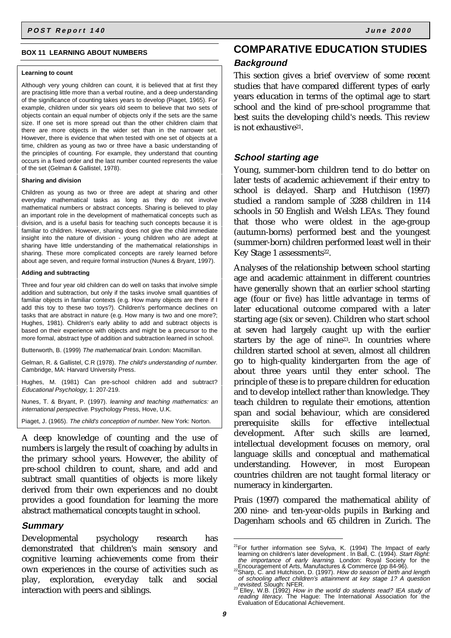#### **BOX 11 LEARNING ABOUT NUMBERS**

#### **Learning to count**

Although very young children can count, it is believed that at first they are practising little more than a verbal routine, and a deep understanding of the significance of counting takes years to develop (Piaget, 1965). For example, children under six years old seem to believe that two sets of objects contain an equal number of objects only if the sets are the same size. If one set is more spread out than the other children claim that there are more objects in the wider set than in the narrower set. However, there is evidence that when tested with one set of objects at a time, children as young as two or three have a basic understanding of the principles of counting. For example, they understand that counting occurs in a fixed order and the last number counted represents the value of the set (Gelman & Gallistel, 1978).

#### **Sharing and division**

Children as young as two or three are adept at sharing and other everyday mathematical tasks as long as they do not involve mathematical numbers or abstract concepts. Sharing is believed to play an important role in the development of mathematical concepts such as division, and is a useful basis for teaching such concepts because it is familiar to children. However, sharing does not give the child immediate insight into the nature of division - young children who are adept at sharing have little understanding of the mathematical relationships in sharing. These more complicated concepts are rarely learned before about age seven, and require formal instruction (Nunes & Bryant, 1997).

#### **Adding and subtracting**

Three and four year old children can do well on tasks that involve simple addition and subtraction, but only if the tasks involve small quantities of familiar objects in familiar contexts (e.g. How many objects are there if I add this toy to these two toys?). Children's performance declines on tasks that are abstract in nature (e.g. How many is two and one more?; Hughes, 1981). Children's early ability to add and subtract objects is based on their experience with objects and might be a precursor to the more formal, abstract type of addition and subtraction learned in school.

Butterworth, B. (1999) The mathematical brain. London: Macmillan.

Gelman, R. & Gallistel, C.R (1978). The child's understanding of number. Cambridge, MA: Harvard University Press.

Hughes, M. (1981) Can pre-school children add and subtract? Educational Psychology, 1: 207-219.

Nunes, T. & Bryant, P. (1997). learning and teaching mathematics: an international perspective. Psychology Press, Hove, U.K.

Piaget, J. (1965). The child's conception of number. New York: Norton.

A deep knowledge of counting and the use of numbers is largely the result of coaching by adults in the primary school years. However, the ability of pre-school children to count, share, and add and subtract small quantities of objects is more likely derived from their own experiences and no doubt provides a good foundation for learning the more abstract mathematical concepts taught in school.

### **Summary**

Developmental psychology research has demonstrated that children's main sensory and cognitive learning achievements come from their own experiences in the course of activities such as play, exploration, everyday talk and social interaction with peers and siblings.

### **COMPARATIVE EDUCATION STUDIES Background**

This section gives a brief overview of some recent studies that have compared different types of early years education in terms of the optimal age to start school and the kind of pre-school programme that best suits the developing child's needs. This review is not exhaustive<sup>21</sup>.

### **School starting age**

Young, summer-born children tend to do better on later tests of academic achievement if their entry to school is delayed. Sharp and Hutchison (1997) studied a random sample of 3288 children in 114 schools in 50 English and Welsh LEAs. They found that those who were oldest in the age-group (autumn-borns) performed best and the youngest (summer-born) children performed least well in their Key Stage 1 assessments<sup>22</sup>.

Analyses of the relationship between school starting age and academic attainment in different countries have generally shown that an earlier school starting age (four or five) has little advantage in terms of later educational outcome compared with a later starting age (six or seven). Children who start school at seven had largely caught up with the earlier starters by the age of nine23. In countries where children started school at seven, almost all children go to high-quality kindergarten from the age of about three years until they enter school. The principle of these is to prepare children for education and to develop intellect rather than knowledge. They teach children to regulate their emotions, attention span and social behaviour, which are considered prerequisite skills for effective intellectual development. After such skills are learned, intellectual development focuses on memory, oral language skills and conceptual and mathematical understanding. However, in most European countries children are not taught formal literacy or numeracy in kindergarten.

Prais (1997) compared the mathematical ability of 200 nine- and ten-year-olds pupils in Barking and Dagenham schools and 65 children in Zurich. The

<sup>&</sup>lt;sup>21</sup>For further information see Sylva, K. (1994) The Impact of early learning on children's later development . In Ball, C. (1994). *Start Right:* the importance of early learning. London: Royal Society for the

Encouragement of Arts, Manufactures & Commerce (pp 84-96).<br><sup>22</sup>Sharp, C. and Hutchison, D. (1997). *How do season of birth and length* of schooling affect children's attainment at key stage 1? A question revisited. Slough: NFER.<br><sup>23</sup> Elley, W.B. (1992) How in the world do students read? IEA study of

reading literacy. The Hague: The International Association for the<br>Evaluation of Educational Achievement.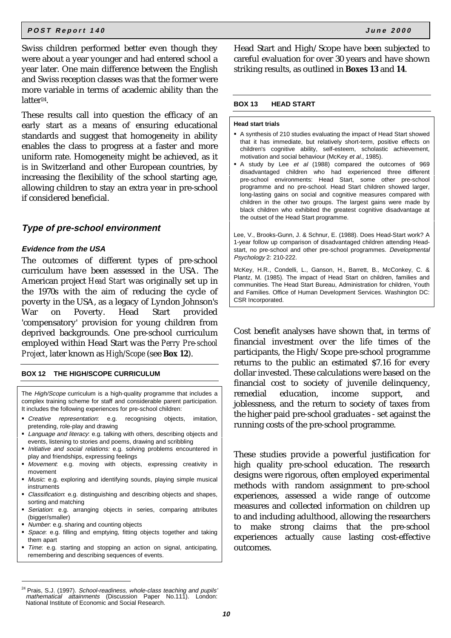Swiss children performed better even though they were about a year younger and had entered school a year later. One main difference between the English and Swiss reception classes was that the former were more variable in terms of academic ability than the latter<sup>24</sup>.

These results call into question the efficacy of an early start as a means of ensuring educational standards and suggest that homogeneity in ability enables the class to progress at a faster and more uniform rate. Homogeneity might be achieved, as it is in Switzerland and other European countries, by increasing the flexibility of the school starting age, allowing children to stay an extra year in pre-school if considered beneficial.

### **Type of pre-school environment**

### **Evidence from the USA**

The outcomes of different types of pre-school curriculum have been assessed in the USA. The American project *Head Start* was originally set up in the 1970s with the aim of reducing the cycle of poverty in the USA, as a legacy of Lyndon Johnson's War on Poverty. Head Start provided 'compensatory' provision for young children from deprived backgrounds. One pre-school curriculum employed within Head Start was the *Perry Pre-school Project*, later known as *High/Scope* (see **Box 12**).

### **BOX 12 THE HIGH/SCOPE CURRICULUM**

The High/Scope curriculum is a high-quality programme that includes a complex training scheme for staff and considerable parent participation. It includes the following experiences for pre-school children:

- Creative representation: e.g. recognising objects, imitation, pretending, role-play and drawing
- **Language and literacy: e.g. talking with others, describing objects and** events, listening to stories and poems, drawing and scribbling
- Initiative and social relations: e.g. solving problems encountered in play and friendships, expressing feelings
- **Movement:** e.g. moving with objects, expressing creativity in movement
- **Music: e.g. exploring and identifying sounds, playing simple musical** instruments
- Classification: e.g. distinguishing and describing objects and shapes, sorting and matching
- **-** Seriation: e.g. arranging objects in series, comparing attributes (bigger/smaller)
- Number: e.g. sharing and counting objects
- **-** Space: e.g. filling and emptying, fitting objects together and taking them apart
- Time: e.g. starting and stopping an action on signal, anticipating, remembering and describing sequences of events.

Head Start and High/Scope have been subjected to careful evaluation for over 30 years and have shown striking results, as outlined in **Boxes 13** and **14**.

#### **BOX 13 HEAD START**

#### **Head start trials**

- A synthesis of 210 studies evaluating the impact of Head Start showed that it has immediate, but relatively short-term, positive effects on children's cognitive ability, self-esteem, scholastic achievement, motivation and social behaviour (McKey et al., 1985).
- A study by Lee et al (1988) compared the outcomes of 969 disadvantaged children who had experienced three different pre-school environments: Head Start, some other pre-school programme and no pre-school. Head Start children showed larger, long-lasting gains on social and cognitive measures compared with children in the other two groups. The largest gains were made by black children who exhibited the greatest cognitive disadvantage at the outset of the Head Start programme.

Lee, V., Brooks-Gunn, J. & Schnur, E. (1988). Does Head-Start work? A 1-year follow up comparison of disadvantaged children attending Headstart, no pre-school and other pre-school programmes. Developmental Psychology 2: 210-222.

McKey, H.R., Condelli, L., Ganson, H., Barrett, B., McConkey, C. & Plantz, M. (1985). The impact of Head Start on children, families and communities. The Head Start Bureau, Administration for children, Youth and Families. Office of Human Development Services. Washington DC: CSR Incorporated.

Cost benefit analyses have shown that, in terms of financial investment over the life times of the participants, the High/Scope pre-school programme returns to the public an estimated \$7.16 for every dollar invested. These calculations were based on the financial cost to society of juvenile delinquency, remedial education, income support, and joblessness, and the return to society of taxes from the higher paid pre-school graduates - set against the running costs of the pre-school programme.

These studies provide a powerful justification for high quality pre-school education. The research designs were rigorous, often employed experimental methods with random assignment to pre-school experiences, assessed a wide range of outcome measures and collected information on children up to and including adulthood, allowing the researchers make strong claims that the pre-school experiences actually *cause* lasting cost-effective outcomes.

<sup>&</sup>lt;sup>24</sup> Prais, S.J. (1997). School-readiness, whole-class teaching and pupils' mathematical attainments (Discussion Paper No.111). London: National Institute of Economic and Social Research.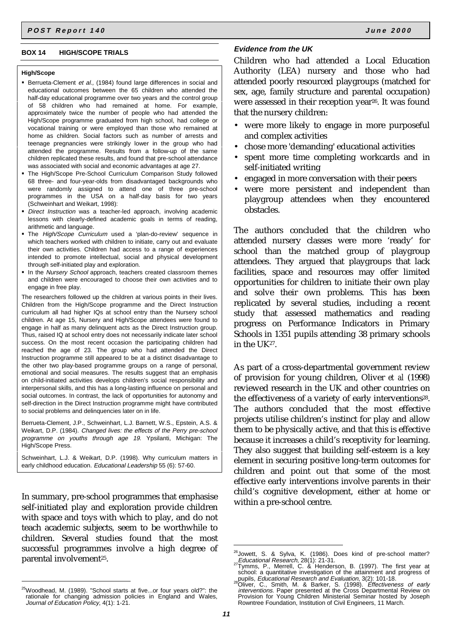#### **BOX 14 HIGH/SCOPE TRIALS**

#### **High/Scope**

- Berrueta-Clement et al., (1984) found large differences in social and educational outcomes between the 65 children who attended the half-day educational programme over two years and the control group of 58 children who had remained at home. For example, approximately twice the number of people who had attended the High/Scope programme graduated from high school, had college or vocational training or were employed than those who remained at home as children. Social factors such as number of arrests and teenage pregnancies were strikingly lower in the group who had attended the programme. Results from a follow-up of the same children replicated these results, and found that pre-school attendance was associated with social and economic advantages at age 27.
- The High/Scope Pre-School Curriculum Comparison Study followed 68 three- and four-year-olds from disadvantaged backgrounds who were randomly assigned to attend one of three pre-school programmes in the USA on a half-day basis for two years (Schweinhart and Weikart, 1998):
- **Direct Instruction was a teacher-led approach, involving academic** lessons with clearly-defined academic goals in terms of reading, arithmetic and language.
- The High/Scope Curriculum used a 'plan-do-review' sequence in which teachers worked with children to initiate, carry out and evaluate their own activities. Children had access to a range of experiences intended to promote intellectual, social and physical development through self-initiated play and exploration.
- In the Nursery School approach, teachers created classroom themes and children were encouraged to choose their own activities and to engage in free play.

The researchers followed up the children at various points in their lives. Children from the High/Scope programme and the Direct Instruction curriculum all had higher IQs at school entry than the Nursery school children. At age 15, Nursery and High/Scope attendees were found to engage in half as many delinquent acts as the Direct Instruction group. Thus, raised IQ at school entry does not necessarily indicate later school success. On the most recent occasion the participating children had reached the age of 23. The group who had attended the Direct Instruction programme still appeared to be at a distinct disadvantage to the other two play-based programme groups on a range of personal, emotional and social measures. The results suggest that an emphasis on child-initiated activities develops children's social responsibility and interpersonal skills, and this has a long-lasting influence on personal and social outcomes. In contrast, the lack of opportunities for autonomy and self-direction in the Direct Instruction programme might have contributed to social problems and delinquencies later on in life.

Berrueta-Clement, J.P., Schweinhart, L.J. Barnett, W.S., Epstein, A.S. & Weikart, D.P. (1984). Changed lives: the effects of the Perry pre-school programme on youths through age 19. Ypsilanti, Michigan: The High/Scope Press.

Schweinhart, L.J. & Weikart, D.P. (1998). Why curriculum matters in early childhood education. Educational Leadership 55 (6): 57-60.

In summary, pre-school programmes that emphasise self-initiated play and exploration provide children with space and toys with which to play, and do not teach academic subjects, seem to be worthwhile to children. Several studies found that the most successful programmes involve a high degree of parental involvement<sup>25</sup>.

### **Evidence from the UK**

Children who had attended a Local Education Authority (LEA) nursery and those who had attended poorly resourced playgroups (matched for sex, age, family structure and parental occupation) were assessed in their reception year<sup>26</sup>. It was found that the nursery children:

- were more likely to engage in more purposeful and complex activities
- chose more 'demanding' educational activities
- spent more time completing workcards and in self-initiated writing
- engaged in more conversation with their peers
- were more persistent and independent than playgroup attendees when they encountered obstacles.

The authors concluded that the children who attended nursery classes were more 'ready' for school than the matched group of playgroup attendees. They argued that playgroups that lack facilities, space and resources may offer limited opportunities for children to initiate their own play and solve their own problems. This has been replicated by several studies, including a recent study that assessed mathematics and reading progress on Performance Indicators in Primary Schools in 1351 pupils attending 38 primary schools in the UK27.

As part of a cross-departmental government review of provision for young children, Oliver *et al* (1998) reviewed research in the UK and other countries on the effectiveness of a variety of early interventions<sup>28</sup>. The authors concluded that the most effective projects utilise children's instinct for play and allow them to be physically active, and that this is effective because it increases a child's receptivity for learning. They also suggest that building self-esteem is a key element in securing positive long-term outcomes for children and point out that some of the most effective early interventions involve parents in their child's cognitive development, either at home or within a pre-school centre.

<sup>&</sup>lt;sup>25</sup>Woodhead, M. (1989). "School starts at five...or four years old?": the rationale for changing admission policies in England and Wales, Journal of Education Policy, 4(1): 1-21.

<sup>&</sup>lt;sup>26</sup>Jowett, S. & Sylva, K. (1986). Does kind of pre-school matter?

Educational Research, 28(1): 21-31.<br><sup>27</sup>Tymms, P., Merrell, C. & Henderson, B. (1997). The first year at<br>school: a quantitative investigation of the attainment and progress of

pupils, *Educational Research and Evaluation*, 3(2): 101-18.<br><sup>28</sup>Oliver, C., Smith, M. & Barker, S. (1998). *Effectiveness of early*<br>*interventions*. Paper presented at the Cross Departmental Review on Provision for Young Children Ministerial Seminar hosted by Joseph Rowntree Foundation, Institution of Civil Engineers, 11 March.